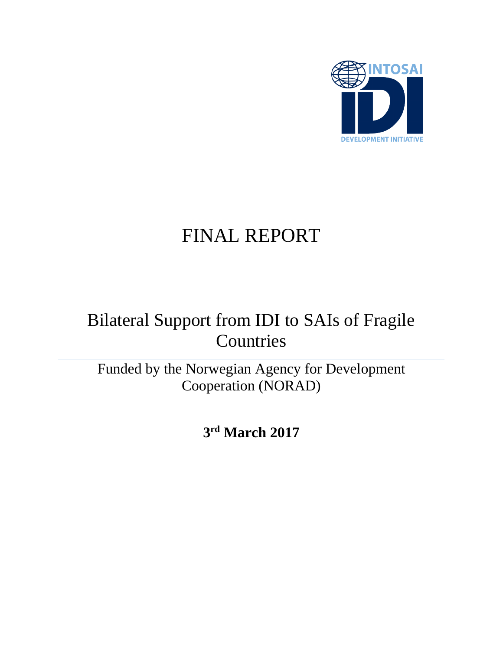

# FINAL REPORT

# Bilateral Support from IDI to SAIs of Fragile **Countries**

Funded by the Norwegian Agency for Development Cooperation (NORAD)

**3 rd March 2017**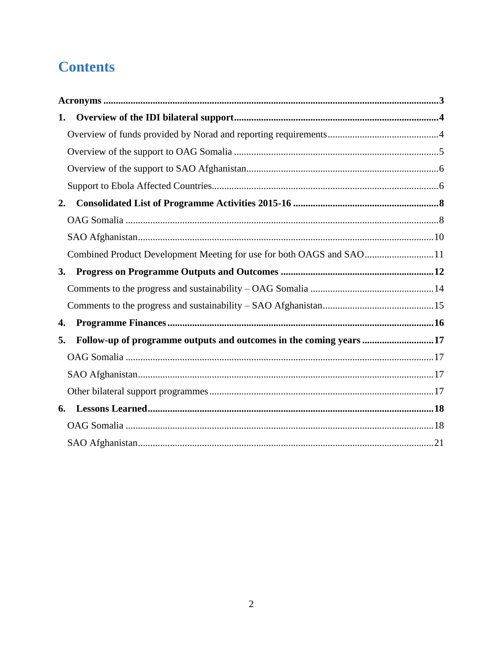# **Contents**

| 1.                                                                       |  |
|--------------------------------------------------------------------------|--|
|                                                                          |  |
|                                                                          |  |
|                                                                          |  |
|                                                                          |  |
| 2.                                                                       |  |
|                                                                          |  |
|                                                                          |  |
| Combined Product Development Meeting for use for both OAGS and SAO11     |  |
| 3.                                                                       |  |
|                                                                          |  |
|                                                                          |  |
| 4.                                                                       |  |
| Follow-up of programme outputs and outcomes in the coming years 17<br>5. |  |
|                                                                          |  |
|                                                                          |  |
|                                                                          |  |
| 6.                                                                       |  |
|                                                                          |  |
|                                                                          |  |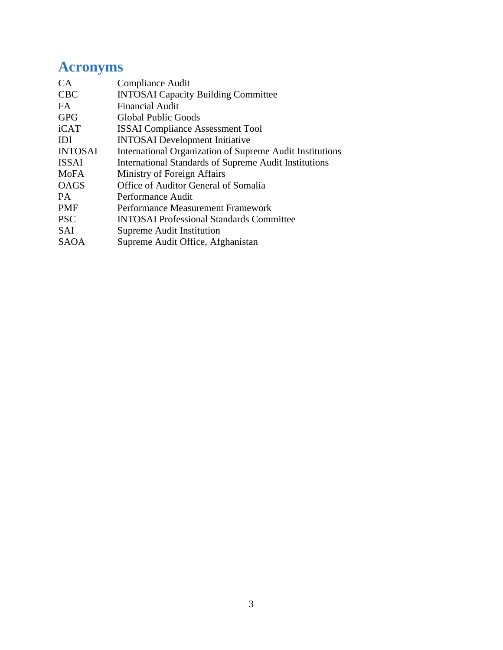# <span id="page-2-0"></span>**Acronyms**

| CA             | Compliance Audit                                             |
|----------------|--------------------------------------------------------------|
| <b>CBC</b>     | <b>INTOSAI</b> Capacity Building Committee                   |
| FA.            | <b>Financial Audit</b>                                       |
| <b>GPG</b>     | Global Public Goods                                          |
| iCAT           | <b>ISSAI</b> Compliance Assessment Tool                      |
| <b>IDI</b>     | <b>INTOSAI</b> Development Initiative                        |
| <b>INTOSAI</b> | International Organization of Supreme Audit Institutions     |
| <b>ISSAI</b>   | <b>International Standards of Supreme Audit Institutions</b> |
| <b>MoFA</b>    | Ministry of Foreign Affairs                                  |
| <b>OAGS</b>    | Office of Auditor General of Somalia                         |
| PA.            | Performance Audit                                            |
| <b>PMF</b>     | Performance Measurement Framework                            |
| <b>PSC</b>     | <b>INTOSAI</b> Professional Standards Committee              |
| <b>SAI</b>     | Supreme Audit Institution                                    |
| <b>SAOA</b>    | Supreme Audit Office, Afghanistan                            |
|                |                                                              |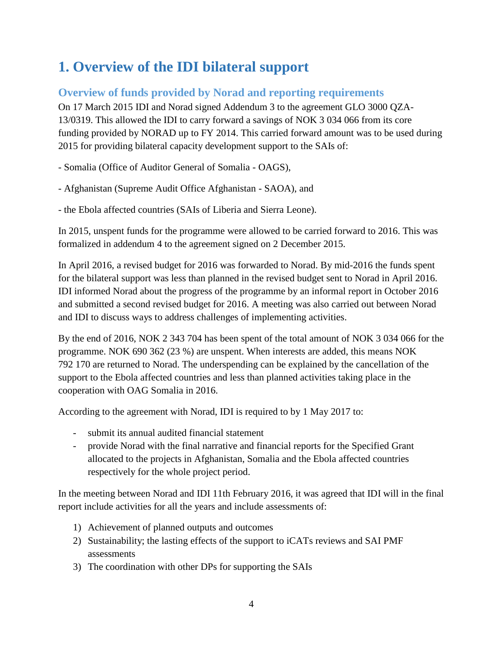## <span id="page-3-0"></span>**1. Overview of the IDI bilateral support**

### <span id="page-3-1"></span>**Overview of funds provided by Norad and reporting requirements**

On 17 March 2015 IDI and Norad signed Addendum 3 to the agreement GLO 3000 QZA-13/0319. This allowed the IDI to carry forward a savings of NOK 3 034 066 from its core funding provided by NORAD up to FY 2014. This carried forward amount was to be used during 2015 for providing bilateral capacity development support to the SAIs of:

- Somalia (Office of Auditor General of Somalia - OAGS),

- Afghanistan (Supreme Audit Office Afghanistan - SAOA), and

- the Ebola affected countries (SAIs of Liberia and Sierra Leone).

In 2015, unspent funds for the programme were allowed to be carried forward to 2016. This was formalized in addendum 4 to the agreement signed on 2 December 2015.

In April 2016, a revised budget for 2016 was forwarded to Norad. By mid-2016 the funds spent for the bilateral support was less than planned in the revised budget sent to Norad in April 2016. IDI informed Norad about the progress of the programme by an informal report in October 2016 and submitted a second revised budget for 2016. A meeting was also carried out between Norad and IDI to discuss ways to address challenges of implementing activities.

By the end of 2016, NOK 2 343 704 has been spent of the total amount of NOK 3 034 066 for the programme. NOK 690 362 (23 %) are unspent. When interests are added, this means NOK 792 170 are returned to Norad. The underspending can be explained by the cancellation of the support to the Ebola affected countries and less than planned activities taking place in the cooperation with OAG Somalia in 2016.

According to the agreement with Norad, IDI is required to by 1 May 2017 to:

- submit its annual audited financial statement
- provide Norad with the final narrative and financial reports for the Specified Grant allocated to the projects in Afghanistan, Somalia and the Ebola affected countries respectively for the whole project period.

In the meeting between Norad and IDI 11th February 2016, it was agreed that IDI will in the final report include activities for all the years and include assessments of:

- 1) Achievement of planned outputs and outcomes
- 2) Sustainability; the lasting effects of the support to iCATs reviews and SAI PMF assessments
- 3) The coordination with other DPs for supporting the SAIs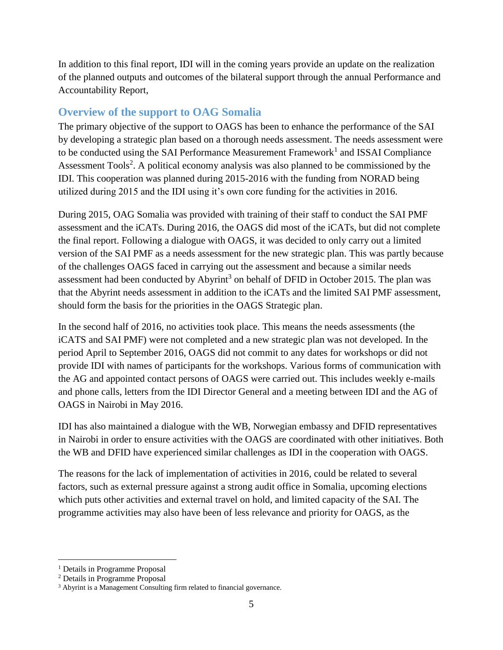In addition to this final report, IDI will in the coming years provide an update on the realization of the planned outputs and outcomes of the bilateral support through the annual Performance and Accountability Report,

#### <span id="page-4-0"></span>**Overview of the support to OAG Somalia**

The primary objective of the support to OAGS has been to enhance the performance of the SAI by developing a strategic plan based on a thorough needs assessment. The needs assessment were to be conducted using the SAI Performance Measurement Framework<sup>1</sup> and ISSAI Compliance Assessment Tools<sup>2</sup>. A political economy analysis was also planned to be commissioned by the IDI. This cooperation was planned during 2015-2016 with the funding from NORAD being utilized during 2015 and the IDI using it's own core funding for the activities in 2016.

During 2015, OAG Somalia was provided with training of their staff to conduct the SAI PMF assessment and the iCATs. During 2016, the OAGS did most of the iCATs, but did not complete the final report. Following a dialogue with OAGS, it was decided to only carry out a limited version of the SAI PMF as a needs assessment for the new strategic plan. This was partly because of the challenges OAGS faced in carrying out the assessment and because a similar needs assessment had been conducted by Abyrint<sup>3</sup> on behalf of DFID in October 2015. The plan was that the Abyrint needs assessment in addition to the iCATs and the limited SAI PMF assessment, should form the basis for the priorities in the OAGS Strategic plan.

In the second half of 2016, no activities took place. This means the needs assessments (the iCATS and SAI PMF) were not completed and a new strategic plan was not developed. In the period April to September 2016, OAGS did not commit to any dates for workshops or did not provide IDI with names of participants for the workshops. Various forms of communication with the AG and appointed contact persons of OAGS were carried out. This includes weekly e-mails and phone calls, letters from the IDI Director General and a meeting between IDI and the AG of OAGS in Nairobi in May 2016.

IDI has also maintained a dialogue with the WB, Norwegian embassy and DFID representatives in Nairobi in order to ensure activities with the OAGS are coordinated with other initiatives. Both the WB and DFID have experienced similar challenges as IDI in the cooperation with OAGS.

The reasons for the lack of implementation of activities in 2016, could be related to several factors, such as external pressure against a strong audit office in Somalia, upcoming elections which puts other activities and external travel on hold, and limited capacity of the SAI. The programme activities may also have been of less relevance and priority for OAGS, as the

 $\overline{a}$ 

<sup>&</sup>lt;sup>1</sup> Details in Programme Proposal

<sup>2</sup> Details in Programme Proposal

<sup>&</sup>lt;sup>3</sup> Abyrint is a Management Consulting firm related to financial governance.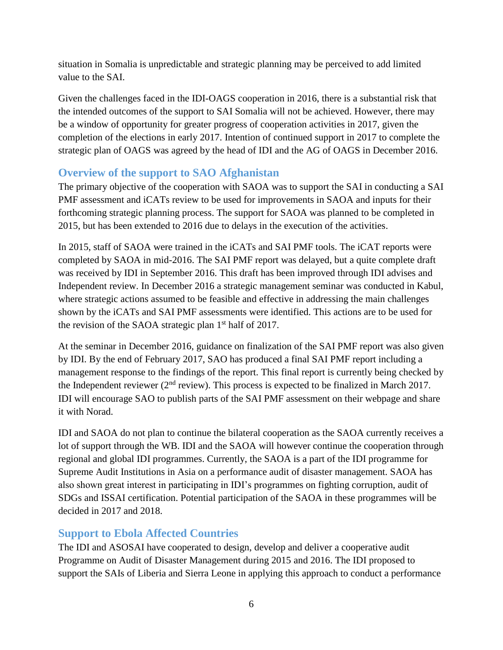situation in Somalia is unpredictable and strategic planning may be perceived to add limited value to the SAI.

Given the challenges faced in the IDI-OAGS cooperation in 2016, there is a substantial risk that the intended outcomes of the support to SAI Somalia will not be achieved. However, there may be a window of opportunity for greater progress of cooperation activities in 2017, given the completion of the elections in early 2017. Intention of continued support in 2017 to complete the strategic plan of OAGS was agreed by the head of IDI and the AG of OAGS in December 2016.

### <span id="page-5-0"></span>**Overview of the support to SAO Afghanistan**

The primary objective of the cooperation with SAOA was to support the SAI in conducting a SAI PMF assessment and iCATs review to be used for improvements in SAOA and inputs for their forthcoming strategic planning process. The support for SAOA was planned to be completed in 2015, but has been extended to 2016 due to delays in the execution of the activities.

In 2015, staff of SAOA were trained in the iCATs and SAI PMF tools. The iCAT reports were completed by SAOA in mid-2016. The SAI PMF report was delayed, but a quite complete draft was received by IDI in September 2016. This draft has been improved through IDI advises and Independent review. In December 2016 a strategic management seminar was conducted in Kabul, where strategic actions assumed to be feasible and effective in addressing the main challenges shown by the iCATs and SAI PMF assessments were identified. This actions are to be used for the revision of the SAOA strategic plan  $1<sup>st</sup>$  half of 2017.

At the seminar in December 2016, guidance on finalization of the SAI PMF report was also given by IDI. By the end of February 2017, SAO has produced a final SAI PMF report including a management response to the findings of the report. This final report is currently being checked by the Independent reviewer ( $2<sup>nd</sup>$  review). This process is expected to be finalized in March 2017. IDI will encourage SAO to publish parts of the SAI PMF assessment on their webpage and share it with Norad.

IDI and SAOA do not plan to continue the bilateral cooperation as the SAOA currently receives a lot of support through the WB. IDI and the SAOA will however continue the cooperation through regional and global IDI programmes. Currently, the SAOA is a part of the IDI programme for Supreme Audit Institutions in Asia on a performance audit of disaster management. SAOA has also shown great interest in participating in IDI's programmes on fighting corruption, audit of SDGs and ISSAI certification. Potential participation of the SAOA in these programmes will be decided in 2017 and 2018.

#### <span id="page-5-1"></span>**Support to Ebola Affected Countries**

The IDI and ASOSAI have cooperated to design, develop and deliver a cooperative audit Programme on Audit of Disaster Management during 2015 and 2016. The IDI proposed to support the SAIs of Liberia and Sierra Leone in applying this approach to conduct a performance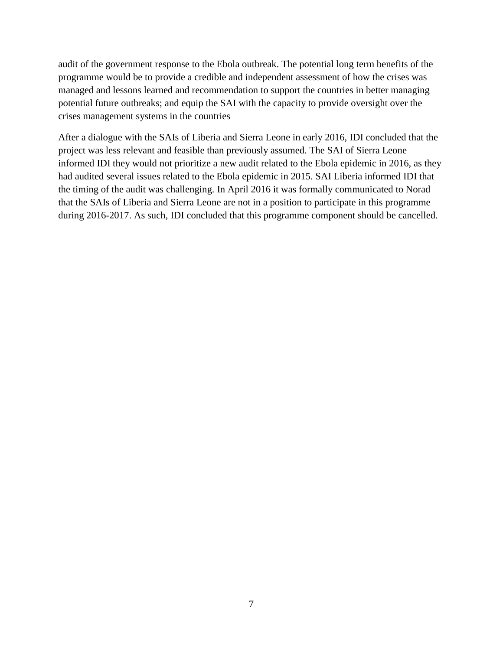audit of the government response to the Ebola outbreak. The potential long term benefits of the programme would be to provide a credible and independent assessment of how the crises was managed and lessons learned and recommendation to support the countries in better managing potential future outbreaks; and equip the SAI with the capacity to provide oversight over the crises management systems in the countries

After a dialogue with the SAIs of Liberia and Sierra Leone in early 2016, IDI concluded that the project was less relevant and feasible than previously assumed. The SAI of Sierra Leone informed IDI they would not prioritize a new audit related to the Ebola epidemic in 2016, as they had audited several issues related to the Ebola epidemic in 2015. SAI Liberia informed IDI that the timing of the audit was challenging. In April 2016 it was formally communicated to Norad that the SAIs of Liberia and Sierra Leone are not in a position to participate in this programme during 2016-2017. As such, IDI concluded that this programme component should be cancelled.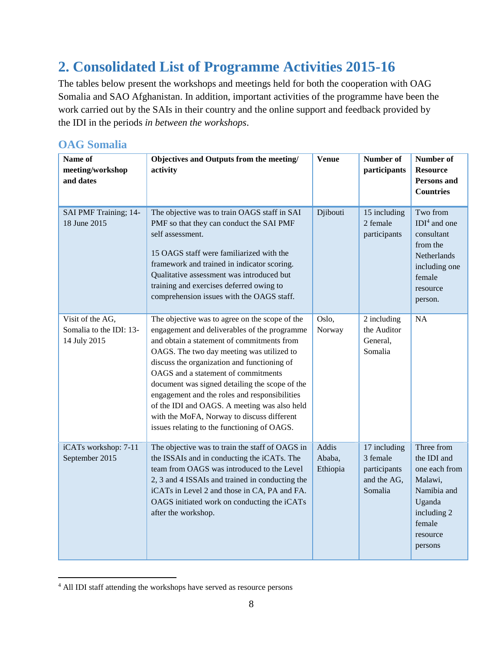# <span id="page-7-0"></span>**2. Consolidated List of Programme Activities 2015-16**

The tables below present the workshops and meetings held for both the cooperation with OAG Somalia and SAO Afghanistan. In addition, important activities of the programme have been the work carried out by the SAIs in their country and the online support and feedback provided by the IDI in the periods *in between the workshops*.

#### <span id="page-7-1"></span>**OAG Somalia**

| Name of<br>meeting/workshop<br>and dates                    | Objectives and Outputs from the meeting/<br>activity                                                                                                                                                                                                                                                                                                                                                                                                                                                                            | <b>Venue</b>                | Number of<br>participants                                          | Number of<br><b>Resource</b><br><b>Persons and</b><br><b>Countries</b>                                                         |
|-------------------------------------------------------------|---------------------------------------------------------------------------------------------------------------------------------------------------------------------------------------------------------------------------------------------------------------------------------------------------------------------------------------------------------------------------------------------------------------------------------------------------------------------------------------------------------------------------------|-----------------------------|--------------------------------------------------------------------|--------------------------------------------------------------------------------------------------------------------------------|
| SAI PMF Training; 14-<br>18 June 2015                       | The objective was to train OAGS staff in SAI<br>PMF so that they can conduct the SAI PMF<br>self assessment.<br>15 OAGS staff were familiarized with the<br>framework and trained in indicator scoring.<br>Qualitative assessment was introduced but<br>training and exercises deferred owing to<br>comprehension issues with the OAGS staff.                                                                                                                                                                                   | Djibouti                    | 15 including<br>2 female<br>participants                           | Two from<br>$IDI4$ and one<br>consultant<br>from the<br>Netherlands<br>including one<br>female<br>resource<br>person.          |
| Visit of the AG,<br>Somalia to the IDI: 13-<br>14 July 2015 | The objective was to agree on the scope of the<br>engagement and deliverables of the programme<br>and obtain a statement of commitments from<br>OAGS. The two day meeting was utilized to<br>discuss the organization and functioning of<br>OAGS and a statement of commitments<br>document was signed detailing the scope of the<br>engagement and the roles and responsibilities<br>of the IDI and OAGS. A meeting was also held<br>with the MoFA, Norway to discuss different<br>issues relating to the functioning of OAGS. | Oslo,<br>Norway             | 2 including<br>the Auditor<br>General,<br>Somalia                  | <b>NA</b>                                                                                                                      |
| iCATs workshop: 7-11<br>September 2015                      | The objective was to train the staff of OAGS in<br>the ISSAIs and in conducting the iCATs. The<br>team from OAGS was introduced to the Level<br>2, 3 and 4 ISSAIs and trained in conducting the<br>iCATs in Level 2 and those in CA, PA and FA.<br>OAGS initiated work on conducting the iCATs<br>after the workshop.                                                                                                                                                                                                           | Addis<br>Ababa,<br>Ethiopia | 17 including<br>3 female<br>participants<br>and the AG,<br>Somalia | Three from<br>the IDI and<br>one each from<br>Malawi,<br>Namibia and<br>Uganda<br>including 2<br>female<br>resource<br>persons |

 $\overline{a}$ <sup>4</sup> All IDI staff attending the workshops have served as resource persons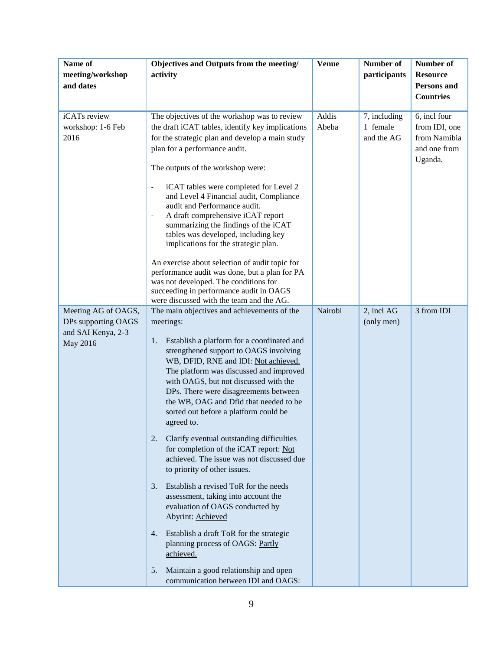| Name of<br>meeting/workshop<br>and dates                                     | Objectives and Outputs from the meeting/<br>activity                                                                                                                                                                                                                                                                                                                                                                                                                                                                                                                                                                                                                                                                                                                                                                                                                                                                                   | <b>Venue</b>          | Number of<br>participants              | Number of<br><b>Resource</b><br>Persons and<br><b>Countries</b>          |
|------------------------------------------------------------------------------|----------------------------------------------------------------------------------------------------------------------------------------------------------------------------------------------------------------------------------------------------------------------------------------------------------------------------------------------------------------------------------------------------------------------------------------------------------------------------------------------------------------------------------------------------------------------------------------------------------------------------------------------------------------------------------------------------------------------------------------------------------------------------------------------------------------------------------------------------------------------------------------------------------------------------------------|-----------------------|----------------------------------------|--------------------------------------------------------------------------|
| iCATs review<br>workshop: 1-6 Feb<br>2016                                    | The objectives of the workshop was to review<br>the draft iCAT tables, identify key implications<br>for the strategic plan and develop a main study<br>plan for a performance audit.<br>The outputs of the workshop were:<br>iCAT tables were completed for Level 2<br>$\qquad \qquad \blacksquare$<br>and Level 4 Financial audit, Compliance<br>audit and Performance audit.<br>A draft comprehensive iCAT report<br>$\qquad \qquad -$<br>summarizing the findings of the iCAT<br>tables was developed, including key<br>implications for the strategic plan.<br>An exercise about selection of audit topic for<br>performance audit was done, but a plan for PA<br>was not developed. The conditions for<br>succeeding in performance audit in OAGS<br>were discussed with the team and the AG.                                                                                                                                     | <b>Addis</b><br>Abeba | 7, including<br>1 female<br>and the AG | 6, incl four<br>from IDI, one<br>from Namibia<br>and one from<br>Uganda. |
| Meeting AG of OAGS,<br>DPs supporting OAGS<br>and SAI Kenya, 2-3<br>May 2016 | The main objectives and achievements of the<br>meetings:<br>Establish a platform for a coordinated and<br>1.<br>strengthened support to OAGS involving<br>WB, DFID, RNE and IDI: Not achieved.<br>The platform was discussed and improved<br>with OAGS, but not discussed with the<br>DPs. There were disagreements between<br>the WB, OAG and Dfid that needed to be<br>sorted out before a platform could be<br>agreed to.<br>2.<br>Clarify eventual outstanding difficulties<br>for completion of the iCAT report: Not<br>achieved. The issue was not discussed due<br>to priority of other issues.<br>3. Establish a revised ToR for the needs<br>assessment, taking into account the<br>evaluation of OAGS conducted by<br>Abyrint: Achieved<br>4. Establish a draft ToR for the strategic<br>planning process of OAGS: Partly<br>achieved.<br>Maintain a good relationship and open<br>5.<br>communication between IDI and OAGS: | Nairobi               | 2, incl AG<br>(only men)               | 3 from IDI                                                               |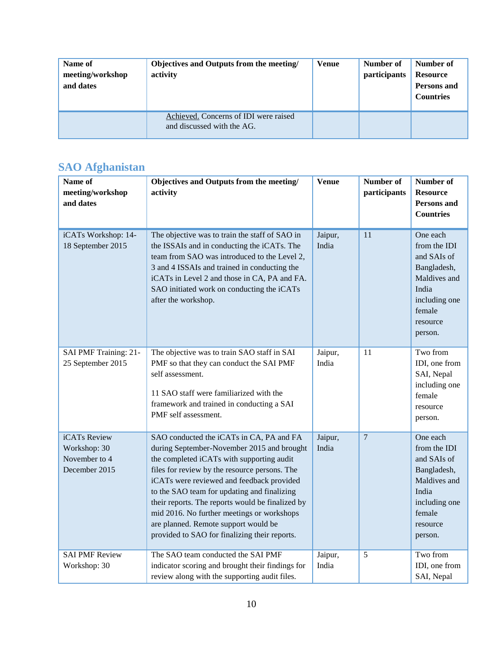| Name of<br>meeting/workshop<br>and dates | Objectives and Outputs from the meeting/<br>activity                | <b>Venue</b> | Number of<br>participants | Number of<br><b>Resource</b><br><b>Persons and</b><br><b>Countries</b> |
|------------------------------------------|---------------------------------------------------------------------|--------------|---------------------------|------------------------------------------------------------------------|
|                                          | Achieved. Concerns of IDI were raised<br>and discussed with the AG. |              |                           |                                                                        |

#### <span id="page-9-0"></span>**SAO Afghanistan**

| Name of<br>$\rm{meeting}/\rm{workshop}$<br>and dates           | Objectives and Outputs from the meeting/<br>activity                                                                                                                                                                                                                                                                                                                                                                                                                        | <b>Venue</b>     | Number of<br>participants | Number of<br><b>Resource</b><br>Persons and<br><b>Countries</b>                                                                   |
|----------------------------------------------------------------|-----------------------------------------------------------------------------------------------------------------------------------------------------------------------------------------------------------------------------------------------------------------------------------------------------------------------------------------------------------------------------------------------------------------------------------------------------------------------------|------------------|---------------------------|-----------------------------------------------------------------------------------------------------------------------------------|
| iCATs Workshop: 14-<br>18 September 2015                       | The objective was to train the staff of SAO in<br>the ISSAIs and in conducting the iCATs. The<br>team from SAO was introduced to the Level 2,<br>3 and 4 ISSAIs and trained in conducting the<br>iCATs in Level 2 and those in CA, PA and FA.<br>SAO initiated work on conducting the iCATs<br>after the workshop.                                                                                                                                                          | Jaipur,<br>India | 11                        | One each<br>from the IDI<br>and SAIs of<br>Bangladesh,<br>Maldives and<br>India<br>including one<br>female<br>resource<br>person. |
| SAI PMF Training: 21-<br>25 September 2015                     | The objective was to train SAO staff in SAI<br>PMF so that they can conduct the SAI PMF<br>self assessment.<br>11 SAO staff were familiarized with the<br>framework and trained in conducting a SAI<br>PMF self assessment.                                                                                                                                                                                                                                                 | Jaipur,<br>India | 11                        | Two from<br>IDI, one from<br>SAI, Nepal<br>including one<br>female<br>resource<br>person.                                         |
| iCATs Review<br>Workshop: 30<br>November to 4<br>December 2015 | SAO conducted the iCATs in CA, PA and FA<br>during September-November 2015 and brought<br>the completed iCATs with supporting audit<br>files for review by the resource persons. The<br>iCATs were reviewed and feedback provided<br>to the SAO team for updating and finalizing<br>their reports. The reports would be finalized by<br>mid 2016. No further meetings or workshops<br>are planned. Remote support would be<br>provided to SAO for finalizing their reports. | Jaipur,<br>India | $\overline{7}$            | One each<br>from the IDI<br>and SAIs of<br>Bangladesh,<br>Maldives and<br>India<br>including one<br>female<br>resource<br>person. |
| <b>SAI PMF Review</b><br>Workshop: 30                          | The SAO team conducted the SAI PMF<br>indicator scoring and brought their findings for<br>review along with the supporting audit files.                                                                                                                                                                                                                                                                                                                                     | Jaipur,<br>India | 5                         | Two from<br>IDI, one from<br>SAI, Nepal                                                                                           |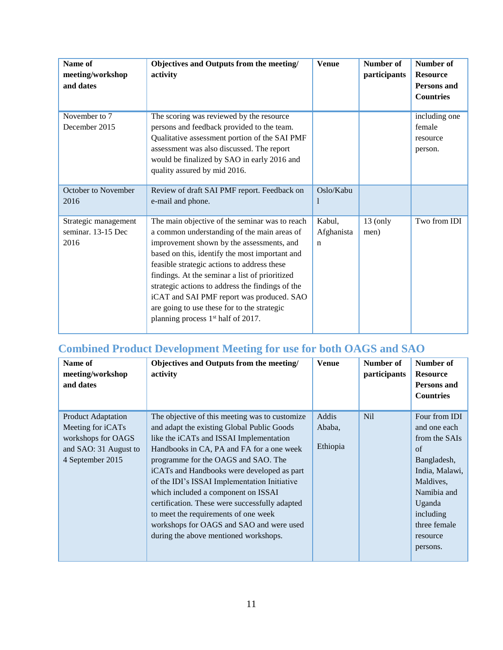| Name of<br>meeting/workshop<br>and dates           | Objectives and Outputs from the meeting/<br>activity                                                                                                                                                                                                                                                                                                                                                                                                                                            | <b>Venue</b>                        | <b>Number of</b><br>participants | <b>Number of</b><br><b>Resource</b><br><b>Persons</b> and<br><b>Countries</b> |
|----------------------------------------------------|-------------------------------------------------------------------------------------------------------------------------------------------------------------------------------------------------------------------------------------------------------------------------------------------------------------------------------------------------------------------------------------------------------------------------------------------------------------------------------------------------|-------------------------------------|----------------------------------|-------------------------------------------------------------------------------|
| November to 7<br>December 2015                     | The scoring was reviewed by the resource<br>persons and feedback provided to the team.<br>Qualitative assessment portion of the SAI PMF<br>assessment was also discussed. The report<br>would be finalized by SAO in early 2016 and<br>quality assured by mid 2016.                                                                                                                                                                                                                             |                                     |                                  | including one<br>female<br>resource<br>person.                                |
| October to November<br>2016                        | Review of draft SAI PMF report. Feedback on<br>e-mail and phone.                                                                                                                                                                                                                                                                                                                                                                                                                                | Oslo/Kabu<br>I                      |                                  |                                                                               |
| Strategic management<br>seminar. 13-15 Dec<br>2016 | The main objective of the seminar was to reach<br>a common understanding of the main areas of<br>improvement shown by the assessments, and<br>based on this, identify the most important and<br>feasible strategic actions to address these<br>findings. At the seminar a list of prioritized<br>strategic actions to address the findings of the<br>iCAT and SAI PMF report was produced. SAO<br>are going to use these for to the strategic<br>planning process 1 <sup>st</sup> half of 2017. | Kabul,<br>Afghanista<br>$\mathbf n$ | $13$ (only<br>men)               | Two from IDI                                                                  |

### <span id="page-10-0"></span>**Combined Product Development Meeting for use for both OAGS and SAO**

| Name of<br>meeting/workshop<br>and dates                                                                          | Objectives and Outputs from the meeting/<br>activity                                                                                                                                                                                                                                                                                                                                                                                                                                                   | <b>Venue</b>                | Number of<br>participants | Number of<br><b>Resource</b><br>Persons and<br><b>Countries</b>                                                                                          |
|-------------------------------------------------------------------------------------------------------------------|--------------------------------------------------------------------------------------------------------------------------------------------------------------------------------------------------------------------------------------------------------------------------------------------------------------------------------------------------------------------------------------------------------------------------------------------------------------------------------------------------------|-----------------------------|---------------------------|----------------------------------------------------------------------------------------------------------------------------------------------------------|
| <b>Product Adaptation</b><br>Meeting for iCATs<br>workshops for OAGS<br>and SAO: 31 August to<br>4 September 2015 | The objective of this meeting was to customize<br>and adapt the existing Global Public Goods<br>like the iCATs and ISSAI Implementation<br>Handbooks in CA, PA and FA for a one week<br>programme for the OAGS and SAO. The<br>iCATs and Handbooks were developed as part<br>of the IDI's ISSAI Implementation Initiative<br>which included a component on ISSAI<br>certification. These were successfully adapted<br>to meet the requirements of one week<br>workshops for OAGS and SAO and were used | Addis<br>Ababa,<br>Ethiopia | <b>Nil</b>                | Four from IDI<br>and one each<br>from the SAIs<br>of<br>Bangladesh,<br>India, Malawi,<br>Maldives,<br>Namibia and<br>Uganda<br>including<br>three female |
|                                                                                                                   | during the above mentioned workshops.                                                                                                                                                                                                                                                                                                                                                                                                                                                                  |                             |                           | resource<br>persons.                                                                                                                                     |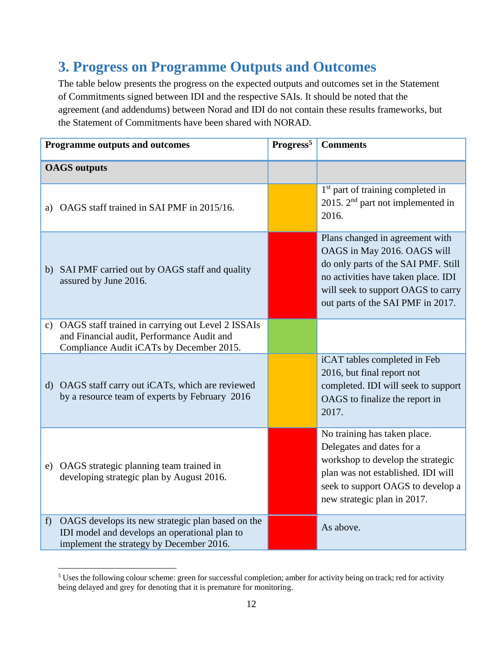## <span id="page-11-0"></span>**3. Progress on Programme Outputs and Outcomes**

The table below presents the progress on the expected outputs and outcomes set in the Statement of Commitments signed between IDI and the respective SAIs. It should be noted that the agreement (and addendums) between Norad and IDI do not contain these results frameworks, but the Statement of Commitments have been shared with NORAD.

|   | <b>Programme outputs and outcomes</b>                                                                                                          | Progress <sup>5</sup> | <b>Comments</b>                                                                                                                                                                                                         |
|---|------------------------------------------------------------------------------------------------------------------------------------------------|-----------------------|-------------------------------------------------------------------------------------------------------------------------------------------------------------------------------------------------------------------------|
|   | <b>OAGS</b> outputs                                                                                                                            |                       |                                                                                                                                                                                                                         |
|   | a) OAGS staff trained in SAI PMF in 2015/16.                                                                                                   |                       | 1 <sup>st</sup> part of training completed in<br>2015. $2nd$ part not implemented in<br>2016.                                                                                                                           |
|   | b) SAI PMF carried out by OAGS staff and quality<br>assured by June 2016.                                                                      |                       | Plans changed in agreement with<br>OAGS in May 2016. OAGS will<br>do only parts of the SAI PMF. Still<br>no activities have taken place. IDI<br>will seek to support OAGS to carry<br>out parts of the SAI PMF in 2017. |
|   | c) OAGS staff trained in carrying out Level 2 ISSAIs<br>and Financial audit, Performance Audit and<br>Compliance Audit iCATs by December 2015. |                       |                                                                                                                                                                                                                         |
|   | d) OAGS staff carry out iCATs, which are reviewed<br>by a resource team of experts by February 2016                                            |                       | iCAT tables completed in Feb<br>2016, but final report not<br>completed. IDI will seek to support<br>OAGS to finalize the report in<br>2017.                                                                            |
|   | e) OAGS strategic planning team trained in<br>developing strategic plan by August 2016.                                                        |                       | No training has taken place.<br>Delegates and dates for a<br>workshop to develop the strategic<br>plan was not established. IDI will<br>seek to support OAGS to develop a<br>new strategic plan in 2017.                |
| f | OAGS develops its new strategic plan based on the<br>IDI model and develops an operational plan to<br>implement the strategy by December 2016. |                       | As above.                                                                                                                                                                                                               |

 $\overline{a}$ <sup>5</sup> Uses the following colour scheme: green for successful completion; amber for activity being on track; red for activity being delayed and grey for denoting that it is premature for monitoring.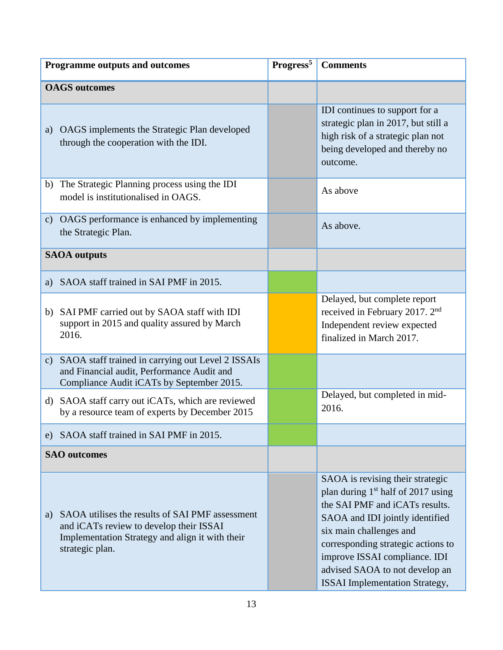| <b>Programme outputs and outcomes</b>                                                                                                                               | Progress <sup>5</sup> | <b>Comments</b>                                                                                                                                                                                                                                                                                                                      |
|---------------------------------------------------------------------------------------------------------------------------------------------------------------------|-----------------------|--------------------------------------------------------------------------------------------------------------------------------------------------------------------------------------------------------------------------------------------------------------------------------------------------------------------------------------|
| <b>OAGS</b> outcomes                                                                                                                                                |                       |                                                                                                                                                                                                                                                                                                                                      |
| a) OAGS implements the Strategic Plan developed<br>through the cooperation with the IDI.                                                                            |                       | IDI continues to support for a<br>strategic plan in 2017, but still a<br>high risk of a strategic plan not<br>being developed and thereby no<br>outcome.                                                                                                                                                                             |
| b) The Strategic Planning process using the IDI<br>model is institutionalised in OAGS.                                                                              |                       | As above                                                                                                                                                                                                                                                                                                                             |
| c) OAGS performance is enhanced by implementing<br>the Strategic Plan.                                                                                              |                       | As above.                                                                                                                                                                                                                                                                                                                            |
| <b>SAOA</b> outputs                                                                                                                                                 |                       |                                                                                                                                                                                                                                                                                                                                      |
| a) SAOA staff trained in SAI PMF in 2015.                                                                                                                           |                       |                                                                                                                                                                                                                                                                                                                                      |
| b) SAI PMF carried out by SAOA staff with IDI<br>support in 2015 and quality assured by March<br>2016.                                                              |                       | Delayed, but complete report<br>received in February 2017. 2 <sup>nd</sup><br>Independent review expected<br>finalized in March 2017.                                                                                                                                                                                                |
| c) SAOA staff trained in carrying out Level 2 ISSAIs<br>and Financial audit, Performance Audit and<br>Compliance Audit iCATs by September 2015.                     |                       |                                                                                                                                                                                                                                                                                                                                      |
| d) SAOA staff carry out iCATs, which are reviewed<br>by a resource team of experts by December 2015                                                                 |                       | Delayed, but completed in mid-<br>2016.                                                                                                                                                                                                                                                                                              |
| e) SAOA staff trained in SAI PMF in 2015.                                                                                                                           |                       |                                                                                                                                                                                                                                                                                                                                      |
| <b>SAO</b> outcomes                                                                                                                                                 |                       |                                                                                                                                                                                                                                                                                                                                      |
| a) SAOA utilises the results of SAI PMF assessment<br>and iCATs review to develop their ISSAI<br>Implementation Strategy and align it with their<br>strategic plan. |                       | SAOA is revising their strategic<br>plan during 1 <sup>st</sup> half of 2017 using<br>the SAI PMF and iCATs results.<br>SAOA and IDI jointly identified<br>six main challenges and<br>corresponding strategic actions to<br>improve ISSAI compliance. IDI<br>advised SAOA to not develop an<br><b>ISSAI</b> Implementation Strategy, |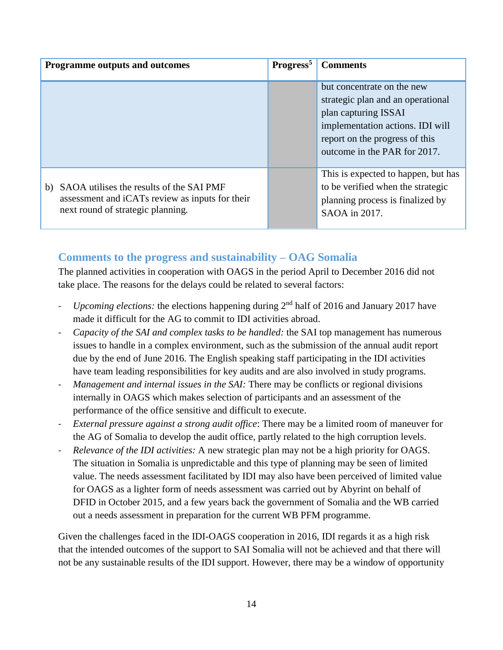| Programme outputs and outcomes                                                                                                         | Progress <sup>5</sup> | <b>Comments</b>                                                                                                                                                                               |
|----------------------------------------------------------------------------------------------------------------------------------------|-----------------------|-----------------------------------------------------------------------------------------------------------------------------------------------------------------------------------------------|
|                                                                                                                                        |                       | but concentrate on the new<br>strategic plan and an operational<br>plan capturing ISSAI<br>implementation actions. IDI will<br>report on the progress of this<br>outcome in the PAR for 2017. |
| SAOA utilises the results of the SAI PMF<br>b)<br>assessment and iCATs review as inputs for their<br>next round of strategic planning. |                       | This is expected to happen, but has<br>to be verified when the strategic<br>planning process is finalized by<br>SAOA in 2017.                                                                 |

#### <span id="page-13-0"></span>**Comments to the progress and sustainability – OAG Somalia**

The planned activities in cooperation with OAGS in the period April to December 2016 did not take place. The reasons for the delays could be related to several factors:

- *Upcoming elections:* the elections happening during 2<sup>nd</sup> half of 2016 and January 2017 have made it difficult for the AG to commit to IDI activities abroad.
- *Capacity of the SAI and complex tasks to be handled:* the SAI top management has numerous issues to handle in a complex environment, such as the submission of the annual audit report due by the end of June 2016. The English speaking staff participating in the IDI activities have team leading responsibilities for key audits and are also involved in study programs.
- *Management and internal issues in the SAI:* There may be conflicts or regional divisions internally in OAGS which makes selection of participants and an assessment of the performance of the office sensitive and difficult to execute.
- *External pressure against a strong audit office*: There may be a limited room of maneuver for the AG of Somalia to develop the audit office, partly related to the high corruption levels.
- *Relevance of the IDI activities:* A new strategic plan may not be a high priority for OAGS. The situation in Somalia is unpredictable and this type of planning may be seen of limited value. The needs assessment facilitated by IDI may also have been perceived of limited value for OAGS as a lighter form of needs assessment was carried out by Abyrint on behalf of DFID in October 2015, and a few years back the government of Somalia and the WB carried out a needs assessment in preparation for the current WB PFM programme.

Given the challenges faced in the IDI-OAGS cooperation in 2016, IDI regards it as a high risk that the intended outcomes of the support to SAI Somalia will not be achieved and that there will not be any sustainable results of the IDI support. However, there may be a window of opportunity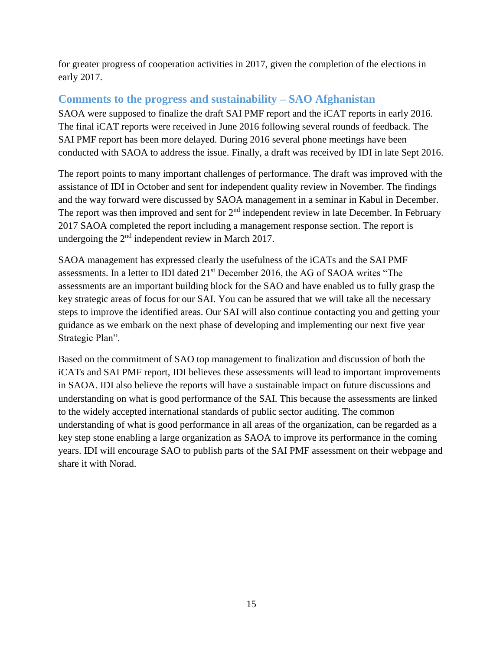for greater progress of cooperation activities in 2017, given the completion of the elections in early 2017.

#### <span id="page-14-0"></span>**Comments to the progress and sustainability – SAO Afghanistan**

SAOA were supposed to finalize the draft SAI PMF report and the iCAT reports in early 2016. The final iCAT reports were received in June 2016 following several rounds of feedback. The SAI PMF report has been more delayed. During 2016 several phone meetings have been conducted with SAOA to address the issue. Finally, a draft was received by IDI in late Sept 2016.

The report points to many important challenges of performance. The draft was improved with the assistance of IDI in October and sent for independent quality review in November. The findings and the way forward were discussed by SAOA management in a seminar in Kabul in December. The report was then improved and sent for  $2<sup>nd</sup>$  independent review in late December. In February 2017 SAOA completed the report including a management response section. The report is undergoing the 2<sup>nd</sup> independent review in March 2017.

SAOA management has expressed clearly the usefulness of the iCATs and the SAI PMF assessments. In a letter to IDI dated 21st December 2016, the AG of SAOA writes "The assessments are an important building block for the SAO and have enabled us to fully grasp the key strategic areas of focus for our SAI. You can be assured that we will take all the necessary steps to improve the identified areas. Our SAI will also continue contacting you and getting your guidance as we embark on the next phase of developing and implementing our next five year Strategic Plan".

Based on the commitment of SAO top management to finalization and discussion of both the iCATs and SAI PMF report, IDI believes these assessments will lead to important improvements in SAOA. IDI also believe the reports will have a sustainable impact on future discussions and understanding on what is good performance of the SAI. This because the assessments are linked to the widely accepted international standards of public sector auditing. The common understanding of what is good performance in all areas of the organization, can be regarded as a key step stone enabling a large organization as SAOA to improve its performance in the coming years. IDI will encourage SAO to publish parts of the SAI PMF assessment on their webpage and share it with Norad.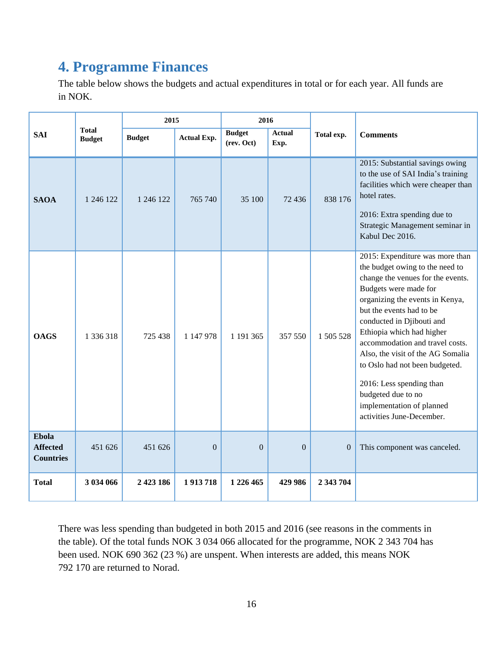## <span id="page-15-0"></span>**4. Programme Finances**

The table below shows the budgets and actual expenditures in total or for each year. All funds are in NOK.

|                                              |                               | 2015          |                    |                             | 2016                  |                |                                                                                                                                                                                                                                                                                                                                                                                                                                                                                 |
|----------------------------------------------|-------------------------------|---------------|--------------------|-----------------------------|-----------------------|----------------|---------------------------------------------------------------------------------------------------------------------------------------------------------------------------------------------------------------------------------------------------------------------------------------------------------------------------------------------------------------------------------------------------------------------------------------------------------------------------------|
| <b>SAI</b>                                   | <b>Total</b><br><b>Budget</b> | <b>Budget</b> | <b>Actual Exp.</b> | <b>Budget</b><br>(rev. Oct) | <b>Actual</b><br>Exp. | Total exp.     | <b>Comments</b>                                                                                                                                                                                                                                                                                                                                                                                                                                                                 |
| <b>SAOA</b>                                  | 1 246 122                     | 1 246 122     | 765 740            | 35 100                      | 72 436                | 838 176        | 2015: Substantial savings owing<br>to the use of SAI India's training<br>facilities which were cheaper than<br>hotel rates.<br>2016: Extra spending due to<br>Strategic Management seminar in<br>Kabul Dec 2016.                                                                                                                                                                                                                                                                |
| <b>OAGS</b>                                  | 1 336 318                     | 725 438       | 1 147 978          | 1 191 365                   | 357 550               | 1 505 528      | 2015: Expenditure was more than<br>the budget owing to the need to<br>change the venues for the events.<br>Budgets were made for<br>organizing the events in Kenya,<br>but the events had to be<br>conducted in Djibouti and<br>Ethiopia which had higher<br>accommodation and travel costs.<br>Also, the visit of the AG Somalia<br>to Oslo had not been budgeted.<br>2016: Less spending than<br>budgeted due to no<br>implementation of planned<br>activities June-December. |
| Ebola<br><b>Affected</b><br><b>Countries</b> | 451 626                       | 451 626       | $\overline{0}$     | $\mathbf{0}$                | $\overline{0}$        | $\overline{0}$ | This component was canceled.                                                                                                                                                                                                                                                                                                                                                                                                                                                    |
| <b>Total</b>                                 | 3 034 066                     | 2 4 2 3 1 8 6 | 1913718            | 1 226 465                   | 429 986               | 2 343 704      |                                                                                                                                                                                                                                                                                                                                                                                                                                                                                 |

There was less spending than budgeted in both 2015 and 2016 (see reasons in the comments in the table). Of the total funds NOK 3 034 066 allocated for the programme, NOK 2 343 704 has been used. NOK 690 362 (23 %) are unspent. When interests are added, this means NOK 792 170 are returned to Norad.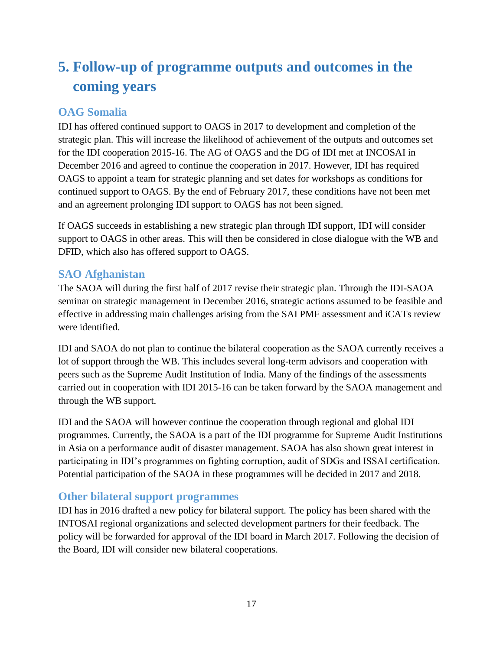# <span id="page-16-0"></span>**5. Follow-up of programme outputs and outcomes in the coming years**

#### <span id="page-16-1"></span>**OAG Somalia**

IDI has offered continued support to OAGS in 2017 to development and completion of the strategic plan. This will increase the likelihood of achievement of the outputs and outcomes set for the IDI cooperation 2015-16. The AG of OAGS and the DG of IDI met at INCOSAI in December 2016 and agreed to continue the cooperation in 2017. However, IDI has required OAGS to appoint a team for strategic planning and set dates for workshops as conditions for continued support to OAGS. By the end of February 2017, these conditions have not been met and an agreement prolonging IDI support to OAGS has not been signed.

If OAGS succeeds in establishing a new strategic plan through IDI support, IDI will consider support to OAGS in other areas. This will then be considered in close dialogue with the WB and DFID, which also has offered support to OAGS.

### <span id="page-16-2"></span>**SAO Afghanistan**

The SAOA will during the first half of 2017 revise their strategic plan. Through the IDI-SAOA seminar on strategic management in December 2016, strategic actions assumed to be feasible and effective in addressing main challenges arising from the SAI PMF assessment and iCATs review were identified.

IDI and SAOA do not plan to continue the bilateral cooperation as the SAOA currently receives a lot of support through the WB. This includes several long-term advisors and cooperation with peers such as the Supreme Audit Institution of India. Many of the findings of the assessments carried out in cooperation with IDI 2015-16 can be taken forward by the SAOA management and through the WB support.

IDI and the SAOA will however continue the cooperation through regional and global IDI programmes. Currently, the SAOA is a part of the IDI programme for Supreme Audit Institutions in Asia on a performance audit of disaster management. SAOA has also shown great interest in participating in IDI's programmes on fighting corruption, audit of SDGs and ISSAI certification. Potential participation of the SAOA in these programmes will be decided in 2017 and 2018.

#### <span id="page-16-3"></span>**Other bilateral support programmes**

IDI has in 2016 drafted a new policy for bilateral support. The policy has been shared with the INTOSAI regional organizations and selected development partners for their feedback. The policy will be forwarded for approval of the IDI board in March 2017. Following the decision of the Board, IDI will consider new bilateral cooperations.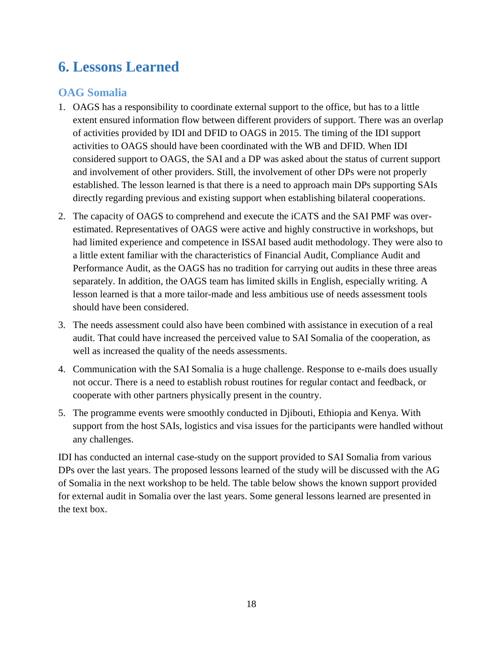## <span id="page-17-0"></span>**6. Lessons Learned**

#### <span id="page-17-1"></span>**OAG Somalia**

- 1. OAGS has a responsibility to coordinate external support to the office, but has to a little extent ensured information flow between different providers of support. There was an overlap of activities provided by IDI and DFID to OAGS in 2015. The timing of the IDI support activities to OAGS should have been coordinated with the WB and DFID. When IDI considered support to OAGS, the SAI and a DP was asked about the status of current support and involvement of other providers. Still, the involvement of other DPs were not properly established. The lesson learned is that there is a need to approach main DPs supporting SAIs directly regarding previous and existing support when establishing bilateral cooperations.
- 2. The capacity of OAGS to comprehend and execute the iCATS and the SAI PMF was overestimated. Representatives of OAGS were active and highly constructive in workshops, but had limited experience and competence in ISSAI based audit methodology. They were also to a little extent familiar with the characteristics of Financial Audit, Compliance Audit and Performance Audit, as the OAGS has no tradition for carrying out audits in these three areas separately. In addition, the OAGS team has limited skills in English, especially writing. A lesson learned is that a more tailor-made and less ambitious use of needs assessment tools should have been considered.
- 3. The needs assessment could also have been combined with assistance in execution of a real audit. That could have increased the perceived value to SAI Somalia of the cooperation, as well as increased the quality of the needs assessments.
- 4. Communication with the SAI Somalia is a huge challenge. Response to e-mails does usually not occur. There is a need to establish robust routines for regular contact and feedback, or cooperate with other partners physically present in the country.
- 5. The programme events were smoothly conducted in Djibouti, Ethiopia and Kenya. With support from the host SAIs, logistics and visa issues for the participants were handled without any challenges.

IDI has conducted an internal case-study on the support provided to SAI Somalia from various DPs over the last years. The proposed lessons learned of the study will be discussed with the AG of Somalia in the next workshop to be held. The table below shows the known support provided for external audit in Somalia over the last years. Some general lessons learned are presented in the text box.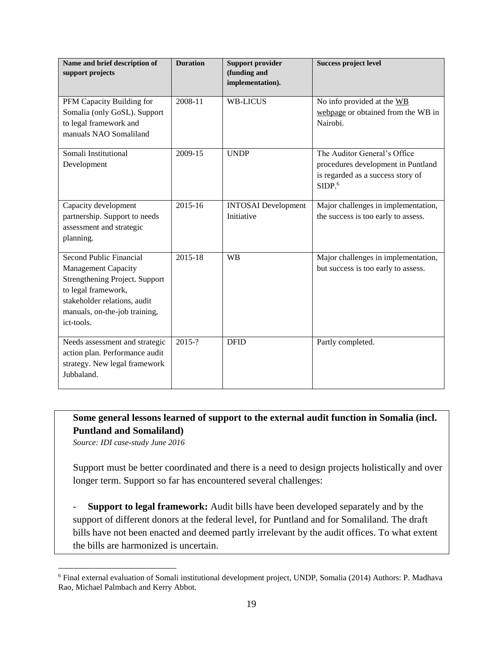| Name and brief description of<br>support projects                                                                                                                                                    | <b>Duration</b> | <b>Support provider</b><br>(funding and<br>implementation). | <b>Success project level</b>                                                                                                  |
|------------------------------------------------------------------------------------------------------------------------------------------------------------------------------------------------------|-----------------|-------------------------------------------------------------|-------------------------------------------------------------------------------------------------------------------------------|
| PFM Capacity Building for<br>Somalia (only GoSL). Support<br>to legal framework and<br>manuals NAO Somaliland                                                                                        | 2008-11         | <b>WB-LICUS</b>                                             | No info provided at the WB<br>webpage or obtained from the WB in<br>Nairobi.                                                  |
| Somali Institutional<br>Development                                                                                                                                                                  | 2009-15         | <b>UNDP</b>                                                 | The Auditor General's Office<br>procedures development in Puntland<br>is regarded as a success story of<br>SIDP. <sub>6</sub> |
| Capacity development<br>partnership. Support to needs<br>assessment and strategic<br>planning.                                                                                                       | 2015-16         | <b>INTOSAI</b> Development<br>Initiative                    | Major challenges in implementation,<br>the success is too early to assess.                                                    |
| <b>Second Public Financial</b><br><b>Management Capacity</b><br>Strengthening Project. Support<br>to legal framework,<br>stakeholder relations, audit<br>manuals, on-the-job training,<br>ict-tools. | $2015 - 18$     | <b>WB</b>                                                   | Major challenges in implementation,<br>but success is too early to assess.                                                    |
| Needs assessment and strategic<br>action plan. Performance audit<br>strategy. New legal framework<br>Jubbaland.                                                                                      | $2015 - ?$      | <b>DFID</b>                                                 | Partly completed.                                                                                                             |

### **Some general lessons learned of support to the external audit function in Somalia (incl. Puntland and Somaliland)**

*Source: IDI case-study June 2016*

 $\overline{a}$ 

Support must be better coordinated and there is a need to design projects holistically and over longer term. Support so far has encountered several challenges:

- **Support to legal framework:** Audit bills have been developed separately and by the support of different donors at the federal level, for Puntland and for Somaliland. The draft bills have not been enacted and deemed partly irrelevant by the audit offices. To what extent the bills are harmonized is uncertain.

<sup>6</sup> Final external evaluation of Somali institutional development project, UNDP, Somalia (2014) Authors: P. Madhava Rao, Michael Palmbach and Kerry Abbot.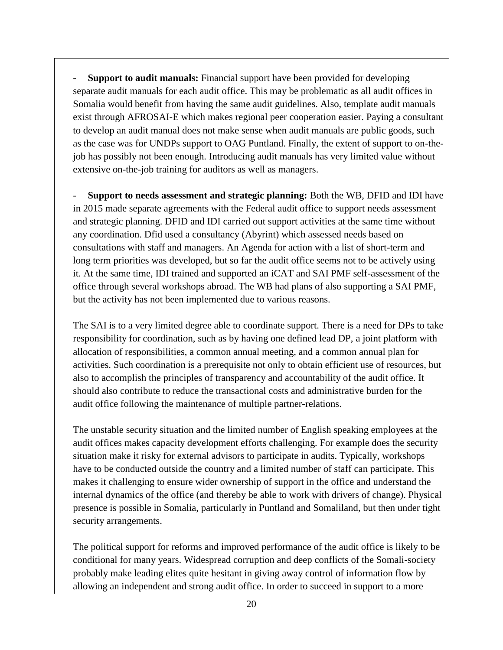- **Support to audit manuals:** Financial support have been provided for developing separate audit manuals for each audit office. This may be problematic as all audit offices in Somalia would benefit from having the same audit guidelines. Also, template audit manuals exist through AFROSAI-E which makes regional peer cooperation easier. Paying a consultant to develop an audit manual does not make sense when audit manuals are public goods, such as the case was for UNDPs support to OAG Puntland. Finally, the extent of support to on-thejob has possibly not been enough. Introducing audit manuals has very limited value without extensive on-the-job training for auditors as well as managers.

- **Support to needs assessment and strategic planning:** Both the WB, DFID and IDI have in 2015 made separate agreements with the Federal audit office to support needs assessment and strategic planning. DFID and IDI carried out support activities at the same time without any coordination. Dfid used a consultancy (Abyrint) which assessed needs based on consultations with staff and managers. An Agenda for action with a list of short-term and long term priorities was developed, but so far the audit office seems not to be actively using it. At the same time, IDI trained and supported an iCAT and SAI PMF self-assessment of the office through several workshops abroad. The WB had plans of also supporting a SAI PMF, but the activity has not been implemented due to various reasons.

The SAI is to a very limited degree able to coordinate support. There is a need for DPs to take responsibility for coordination, such as by having one defined lead DP, a joint platform with allocation of responsibilities, a common annual meeting, and a common annual plan for activities. Such coordination is a prerequisite not only to obtain efficient use of resources, but also to accomplish the principles of transparency and accountability of the audit office. It should also contribute to reduce the transactional costs and administrative burden for the audit office following the maintenance of multiple partner-relations.

The unstable security situation and the limited number of English speaking employees at the audit offices makes capacity development efforts challenging. For example does the security situation make it risky for external advisors to participate in audits. Typically, workshops have to be conducted outside the country and a limited number of staff can participate. This makes it challenging to ensure wider ownership of support in the office and understand the internal dynamics of the office (and thereby be able to work with drivers of change). Physical presence is possible in Somalia, particularly in Puntland and Somaliland, but then under tight security arrangements.

The political support for reforms and improved performance of the audit office is likely to be conditional for many years. Widespread corruption and deep conflicts of the Somali-society probably make leading elites quite hesitant in giving away control of information flow by allowing an independent and strong audit office. In order to succeed in support to a more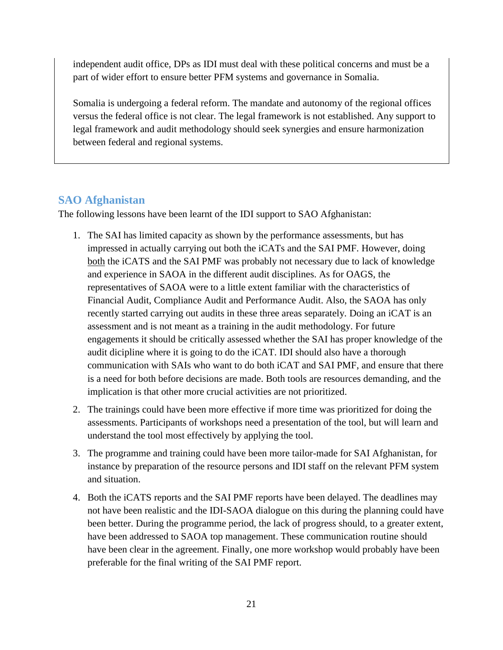independent audit office, DPs as IDI must deal with these political concerns and must be a part of wider effort to ensure better PFM systems and governance in Somalia.

Somalia is undergoing a federal reform. The mandate and autonomy of the regional offices versus the federal office is not clear. The legal framework is not established. Any support to legal framework and audit methodology should seek synergies and ensure harmonization between federal and regional systems.

### <span id="page-20-0"></span>**SAO Afghanistan**

The following lessons have been learnt of the IDI support to SAO Afghanistan:

- 1. The SAI has limited capacity as shown by the performance assessments, but has impressed in actually carrying out both the iCATs and the SAI PMF. However, doing both the iCATS and the SAI PMF was probably not necessary due to lack of knowledge and experience in SAOA in the different audit disciplines. As for OAGS, the representatives of SAOA were to a little extent familiar with the characteristics of Financial Audit, Compliance Audit and Performance Audit. Also, the SAOA has only recently started carrying out audits in these three areas separately. Doing an iCAT is an assessment and is not meant as a training in the audit methodology. For future engagements it should be critically assessed whether the SAI has proper knowledge of the audit dicipline where it is going to do the iCAT. IDI should also have a thorough communication with SAIs who want to do both iCAT and SAI PMF, and ensure that there is a need for both before decisions are made. Both tools are resources demanding, and the implication is that other more crucial activities are not prioritized.
- 2. The trainings could have been more effective if more time was prioritized for doing the assessments. Participants of workshops need a presentation of the tool, but will learn and understand the tool most effectively by applying the tool.
- 3. The programme and training could have been more tailor-made for SAI Afghanistan, for instance by preparation of the resource persons and IDI staff on the relevant PFM system and situation.
- 4. Both the iCATS reports and the SAI PMF reports have been delayed. The deadlines may not have been realistic and the IDI-SAOA dialogue on this during the planning could have been better. During the programme period, the lack of progress should, to a greater extent, have been addressed to SAOA top management. These communication routine should have been clear in the agreement. Finally, one more workshop would probably have been preferable for the final writing of the SAI PMF report.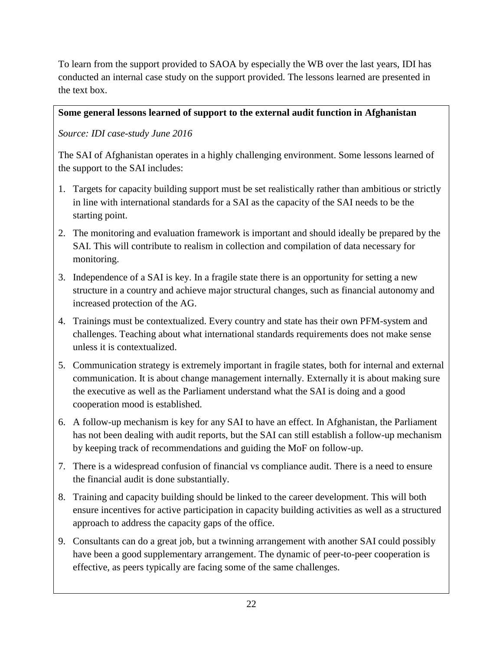To learn from the support provided to SAOA by especially the WB over the last years, IDI has conducted an internal case study on the support provided. The lessons learned are presented in the text box.

#### **Some general lessons learned of support to the external audit function in Afghanistan**

*Source: IDI case-study June 2016*

The SAI of Afghanistan operates in a highly challenging environment. Some lessons learned of the support to the SAI includes:

- 1. Targets for capacity building support must be set realistically rather than ambitious or strictly in line with international standards for a SAI as the capacity of the SAI needs to be the starting point.
- 2. The monitoring and evaluation framework is important and should ideally be prepared by the SAI. This will contribute to realism in collection and compilation of data necessary for monitoring.
- 3. Independence of a SAI is key. In a fragile state there is an opportunity for setting a new structure in a country and achieve major structural changes, such as financial autonomy and increased protection of the AG.
- 4. Trainings must be contextualized. Every country and state has their own PFM-system and challenges. Teaching about what international standards requirements does not make sense unless it is contextualized.
- 5. Communication strategy is extremely important in fragile states, both for internal and external communication. It is about change management internally. Externally it is about making sure the executive as well as the Parliament understand what the SAI is doing and a good cooperation mood is established.
- 6. A follow-up mechanism is key for any SAI to have an effect. In Afghanistan, the Parliament has not been dealing with audit reports, but the SAI can still establish a follow-up mechanism by keeping track of recommendations and guiding the MoF on follow-up.
- 7. There is a widespread confusion of financial vs compliance audit. There is a need to ensure the financial audit is done substantially.
- 8. Training and capacity building should be linked to the career development. This will both ensure incentives for active participation in capacity building activities as well as a structured approach to address the capacity gaps of the office.
- 9. Consultants can do a great job, but a twinning arrangement with another SAI could possibly have been a good supplementary arrangement. The dynamic of peer-to-peer cooperation is effective, as peers typically are facing some of the same challenges.